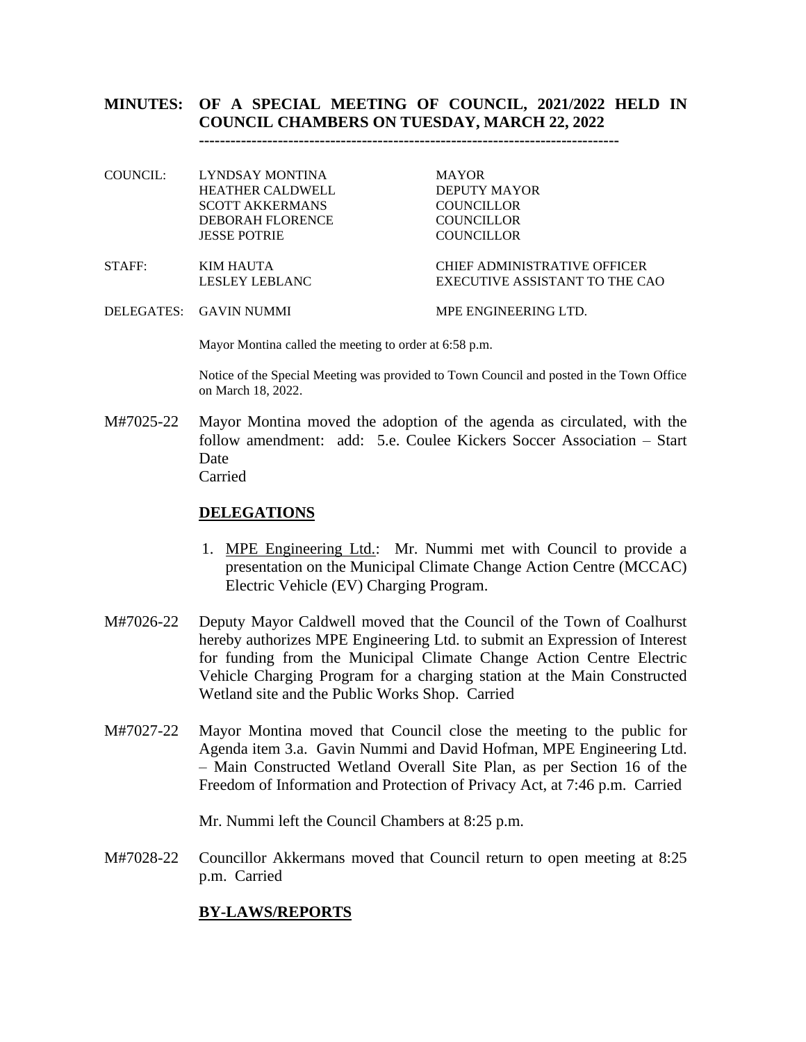# **MINUTES: OF A SPECIAL MEETING OF COUNCIL, 2021/2022 HELD IN COUNCIL CHAMBERS ON TUESDAY, MARCH 22, 2022**

**--------------------------------------------------------------------------------**

| COUNCIL: - | LYNDSAY MONTINA         | <b>MAYOR</b>                        |
|------------|-------------------------|-------------------------------------|
|            | HEATHER CALDWELL        | DEPUTY MAYOR                        |
|            | SCOTT AKKERMANS         | <b>COUNCILLOR</b>                   |
|            | <b>DEBORAH FLORENCE</b> | <b>COUNCILLOR</b>                   |
|            | <b>JESSE POTRIE</b>     | <b>COUNCILLOR</b>                   |
| STAFF:     | KIM HAUTA               | <b>CHIEF ADMINISTRATIVE OFFICER</b> |
|            |                         |                                     |

- LESLEY LEBLANC EXECUTIVE ASSISTANT TO THE CAO
- DELEGATES: GAVIN NUMMI MPE ENGINEERING LTD.

Mayor Montina called the meeting to order at 6:58 p.m.

Notice of the Special Meeting was provided to Town Council and posted in the Town Office on March 18, 2022.

M#7025-22 Mayor Montina moved the adoption of the agenda as circulated, with the follow amendment: add: 5.e. Coulee Kickers Soccer Association – Start Date Carried

#### **DELEGATIONS**

- 1. MPE Engineering Ltd.: Mr. Nummi met with Council to provide a presentation on the Municipal Climate Change Action Centre (MCCAC) Electric Vehicle (EV) Charging Program.
- M#7026-22 Deputy Mayor Caldwell moved that the Council of the Town of Coalhurst hereby authorizes MPE Engineering Ltd. to submit an Expression of Interest for funding from the Municipal Climate Change Action Centre Electric Vehicle Charging Program for a charging station at the Main Constructed Wetland site and the Public Works Shop. Carried
- M#7027-22 Mayor Montina moved that Council close the meeting to the public for Agenda item 3.a. Gavin Nummi and David Hofman, MPE Engineering Ltd. – Main Constructed Wetland Overall Site Plan, as per Section 16 of the Freedom of Information and Protection of Privacy Act, at 7:46 p.m. Carried

Mr. Nummi left the Council Chambers at 8:25 p.m.

M#7028-22 Councillor Akkermans moved that Council return to open meeting at 8:25 p.m. Carried

## **BY-LAWS/REPORTS**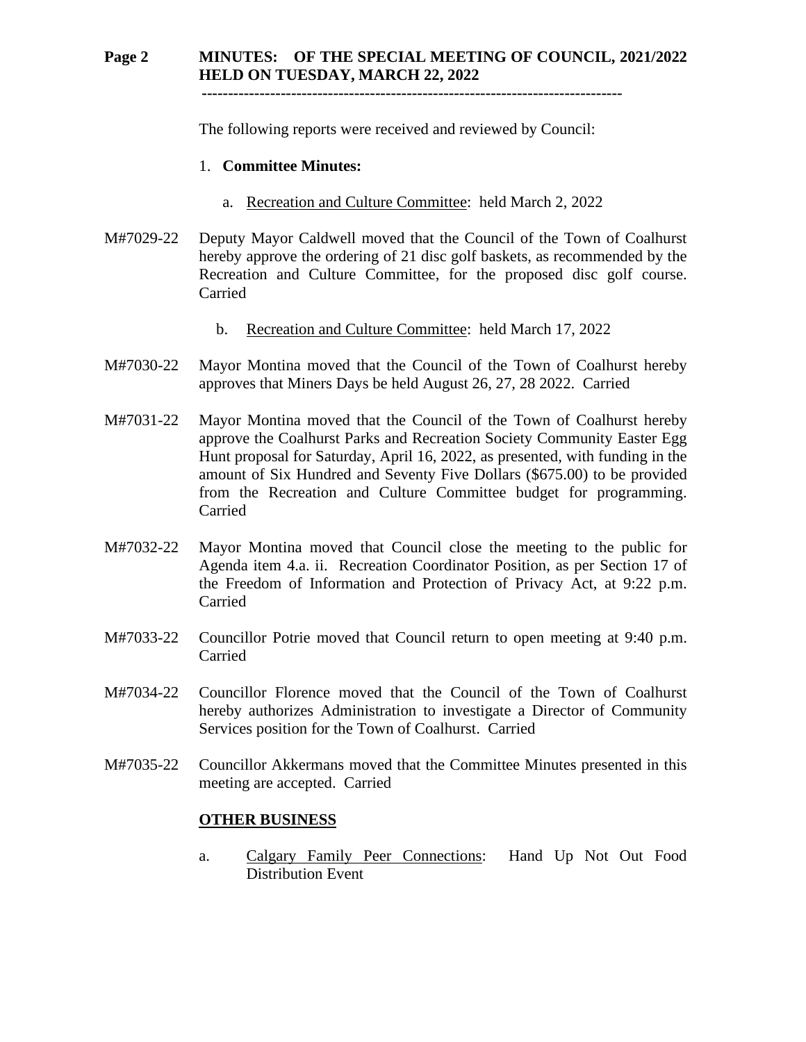# **Page 2 MINUTES: OF THE SPECIAL MEETING OF COUNCIL, 2021/2022 HELD ON TUESDAY, MARCH 22, 2022**

 **--------------------------------------------------------------------------------**

The following reports were received and reviewed by Council:

#### 1. **Committee Minutes:**

- a. Recreation and Culture Committee: held March 2, 2022
- M#7029-22 Deputy Mayor Caldwell moved that the Council of the Town of Coalhurst hereby approve the ordering of 21 disc golf baskets, as recommended by the Recreation and Culture Committee, for the proposed disc golf course. Carried
	- b. Recreation and Culture Committee: held March 17, 2022
- M#7030-22 Mayor Montina moved that the Council of the Town of Coalhurst hereby approves that Miners Days be held August 26, 27, 28 2022. Carried
- M#7031-22 Mayor Montina moved that the Council of the Town of Coalhurst hereby approve the Coalhurst Parks and Recreation Society Community Easter Egg Hunt proposal for Saturday, April 16, 2022, as presented, with funding in the amount of Six Hundred and Seventy Five Dollars (\$675.00) to be provided from the Recreation and Culture Committee budget for programming. Carried
- M#7032-22 Mayor Montina moved that Council close the meeting to the public for Agenda item 4.a. ii. Recreation Coordinator Position, as per Section 17 of the Freedom of Information and Protection of Privacy Act, at 9:22 p.m. Carried
- M#7033-22 Councillor Potrie moved that Council return to open meeting at 9:40 p.m. Carried
- M#7034-22 Councillor Florence moved that the Council of the Town of Coalhurst hereby authorizes Administration to investigate a Director of Community Services position for the Town of Coalhurst. Carried
- M#7035-22 Councillor Akkermans moved that the Committee Minutes presented in this meeting are accepted. Carried

## **OTHER BUSINESS**

a. Calgary Family Peer Connections: Hand Up Not Out Food Distribution Event